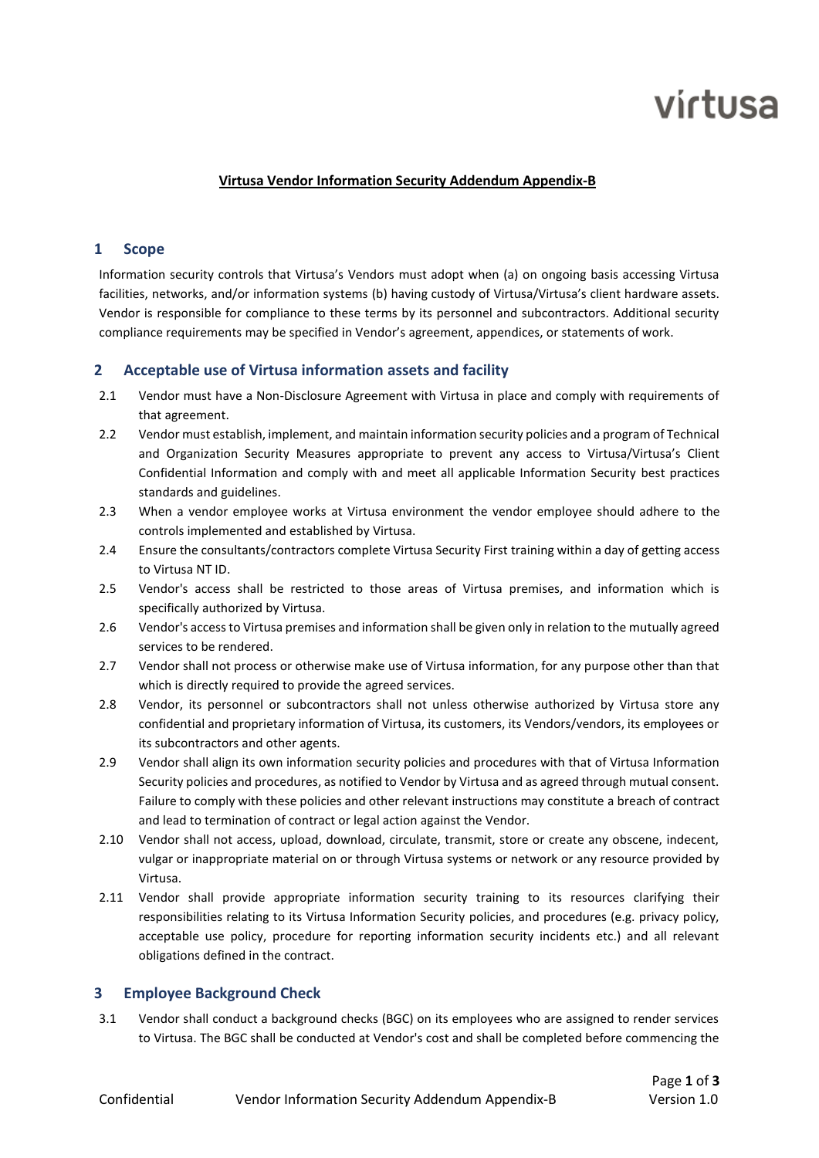# virtusa

### **Virtusa Vendor Information Security Addendum Appendix-B**

# **1 Scope**

Information security controls that Virtusa's Vendors must adopt when (a) on ongoing basis accessing Virtusa facilities, networks, and/or information systems (b) having custody of Virtusa/Virtusa's client hardware assets. Vendor is responsible for compliance to these terms by its personnel and subcontractors. Additional security compliance requirements may be specified in Vendor's agreement, appendices, or statements of work.

# **2 Acceptable use of Virtusa information assets and facility**

- 2.1 Vendor must have a Non-Disclosure Agreement with Virtusa in place and comply with requirements of that agreement.
- 2.2 Vendor must establish, implement, and maintain information security policies and a program of Technical and Organization Security Measures appropriate to prevent any access to Virtusa/Virtusa's Client Confidential Information and comply with and meet all applicable Information Security best practices standards and guidelines.
- 2.3 When a vendor employee works at Virtusa environment the vendor employee should adhere to the controls implemented and established by Virtusa.
- 2.4 Ensure the consultants/contractors complete Virtusa Security First training within a day of getting access to Virtusa NT ID.
- 2.5 Vendor's access shall be restricted to those areas of Virtusa premises, and information which is specifically authorized by Virtusa.
- 2.6 Vendor's access to Virtusa premises and information shall be given only in relation to the mutually agreed services to be rendered.
- 2.7 Vendor shall not process or otherwise make use of Virtusa information, for any purpose other than that which is directly required to provide the agreed services.
- 2.8 Vendor, its personnel or subcontractors shall not unless otherwise authorized by Virtusa store any confidential and proprietary information of Virtusa, its customers, its Vendors/vendors, its employees or its subcontractors and other agents.
- 2.9 Vendor shall align its own information security policies and procedures with that of Virtusa Information Security policies and procedures, as notified to Vendor by Virtusa and as agreed through mutual consent. Failure to comply with these policies and other relevant instructions may constitute a breach of contract and lead to termination of contract or legal action against the Vendor.
- 2.10 Vendor shall not access, upload, download, circulate, transmit, store or create any obscene, indecent, vulgar or inappropriate material on or through Virtusa systems or network or any resource provided by Virtusa.
- 2.11 Vendor shall provide appropriate information security training to its resources clarifying their responsibilities relating to its Virtusa Information Security policies, and procedures (e.g. privacy policy, acceptable use policy, procedure for reporting information security incidents etc.) and all relevant obligations defined in the contract.

# **3 Employee Background Check**

3.1 Vendor shall conduct a background checks (BGC) on its employees who are assigned to render services to Virtusa. The BGC shall be conducted at Vendor's cost and shall be completed before commencing the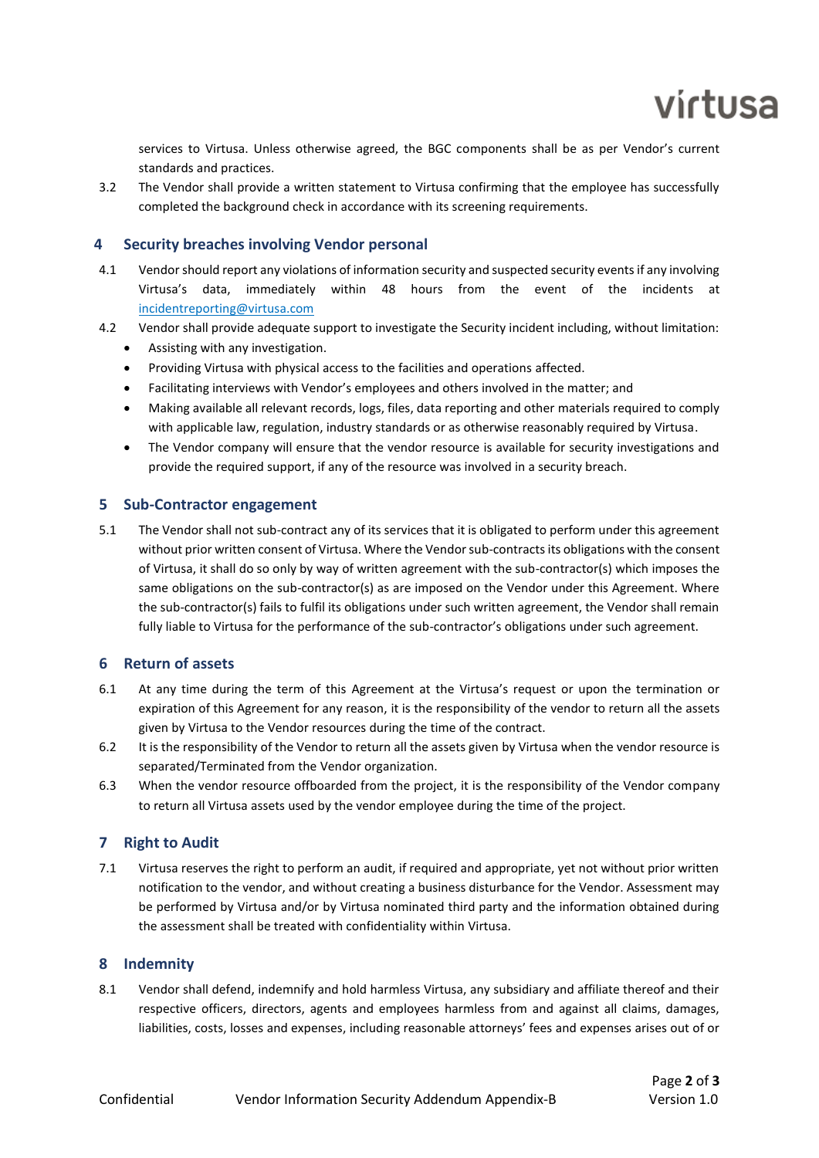

services to Virtusa. Unless otherwise agreed, the BGC components shall be as per Vendor's current standards and practices.

3.2 The Vendor shall provide a written statement to Virtusa confirming that the employee has successfully completed the background check in accordance with its screening requirements.

# **4 Security breaches involving Vendor personal**

- 4.1 Vendor should report any violations of information security and suspected security events if any involving Virtusa's data, immediately within 48 hours from the event of the incidents at [incidentreporting@virtusa.com](mailto:incidentreporting@virtusa.com)
- 4.2 Vendor shall provide adequate support to investigate the Security incident including, without limitation:
	- Assisting with any investigation.
	- Providing Virtusa with physical access to the facilities and operations affected.
	- Facilitating interviews with Vendor's employees and others involved in the matter; and
	- Making available all relevant records, logs, files, data reporting and other materials required to comply with applicable law, regulation, industry standards or as otherwise reasonably required by Virtusa.
	- The Vendor company will ensure that the vendor resource is available for security investigations and provide the required support, if any of the resource was involved in a security breach.

#### **5 Sub-Contractor engagement**

5.1 The Vendor shall not sub-contract any of its services that it is obligated to perform under this agreement without prior written consent of Virtusa. Where the Vendor sub-contracts its obligations with the consent of Virtusa, it shall do so only by way of written agreement with the sub-contractor(s) which imposes the same obligations on the sub-contractor(s) as are imposed on the Vendor under this Agreement. Where the sub-contractor(s) fails to fulfil its obligations under such written agreement, the Vendor shall remain fully liable to Virtusa for the performance of the sub-contractor's obligations under such agreement.

# **6 Return of assets**

- 6.1 At any time during the term of this Agreement at the Virtusa's request or upon the termination or expiration of this Agreement for any reason, it is the responsibility of the vendor to return all the assets given by Virtusa to the Vendor resources during the time of the contract.
- 6.2 It is the responsibility of the Vendor to return all the assets given by Virtusa when the vendor resource is separated/Terminated from the Vendor organization.
- 6.3 When the vendor resource offboarded from the project, it is the responsibility of the Vendor company to return all Virtusa assets used by the vendor employee during the time of the project.

# **7 Right to Audit**

7.1 Virtusa reserves the right to perform an audit, if required and appropriate, yet not without prior written notification to the vendor, and without creating a business disturbance for the Vendor. Assessment may be performed by Virtusa and/or by Virtusa nominated third party and the information obtained during the assessment shall be treated with confidentiality within Virtusa.

#### **8 Indemnity**

8.1 Vendor shall defend, indemnify and hold harmless Virtusa, any subsidiary and affiliate thereof and their respective officers, directors, agents and employees harmless from and against all claims, damages, liabilities, costs, losses and expenses, including reasonable attorneys' fees and expenses arises out of or